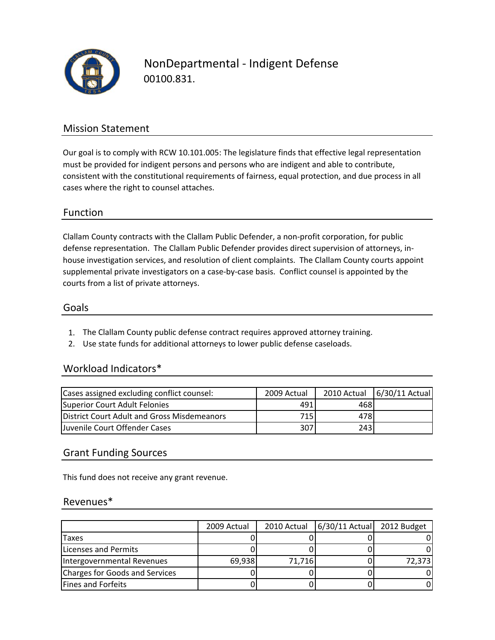

NonDepartmental ‐ Indigent Defense 00100.831.

## Mission Statement

Our goal is to comply with RCW 10.101.005: The legislature finds that effective legal representation must be provided for indigent persons and persons who are indigent and able to contribute, consistent with the constitutional requirements of fairness, equal protection, and due process in all cases where the right to counsel attaches.

## Function

Clallam County contracts with the Clallam Public Defender, a non‐profit corporation, for public defense representation. The Clallam Public Defender provides direct supervision of attorneys, in‐ house investigation services, and resolution of client complaints. The Clallam County courts appoint supplemental private investigators on a case-by-case basis. Conflict counsel is appointed by the courts from a list of private attorneys.

#### Goals

- 1. The Clallam County public defense contract requires approved attorney training.
- 2. Use state funds for additional attorneys to lower public defense caseloads.

## Workload Indicators\*

| Cases assigned excluding conflict counsel:  | 2009 Actual |                  | 2010 Actual 6/30/11 Actual |
|---------------------------------------------|-------------|------------------|----------------------------|
| Superior Court Adult Felonies               | 491         | 468I             |                            |
| District Court Adult and Gross Misdemeanors | 715         | 478I             |                            |
| Juvenile Court Offender Cases               | 307         | 243 <sup>I</sup> |                            |

#### Grant Funding Sources

This fund does not receive any grant revenue.

#### Revenues\*

|                                | 2009 Actual | 2010 Actual | 6/30/11 Actual 2012 Budget |        |
|--------------------------------|-------------|-------------|----------------------------|--------|
| Taxes                          |             |             |                            |        |
| <b>Licenses and Permits</b>    |             |             |                            |        |
| Intergovernmental Revenues     | 69,938      | 71,716      |                            | 72,373 |
| Charges for Goods and Services |             |             |                            |        |
| <b>Fines and Forfeits</b>      |             |             |                            |        |